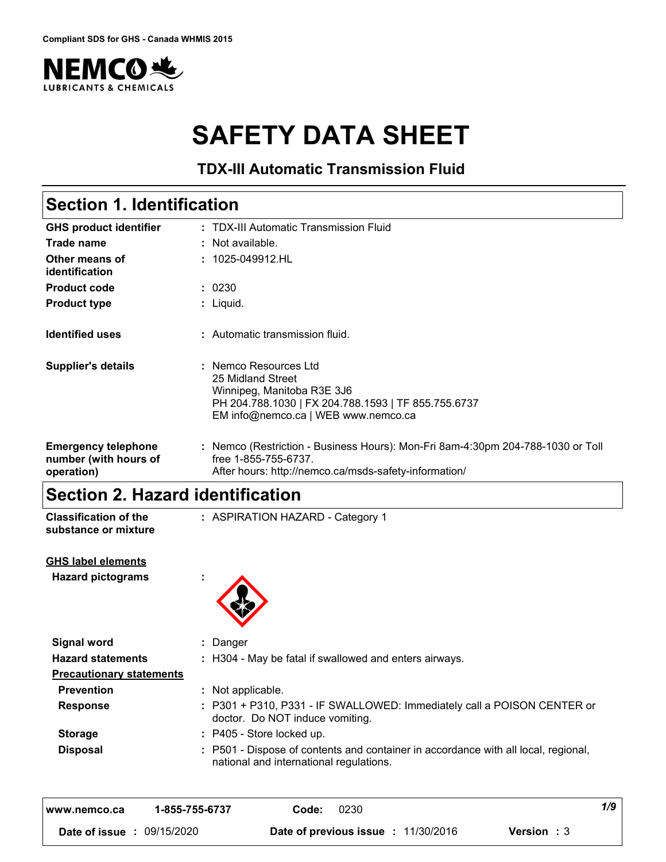

# **SAFETY DATA SHEET**

**TDX-III Automatic Transmission Fluid**

#### TDX-III Automatic Transmission Fluid **:** 1025-049912.HL **:** Liquid. **: GHS product identifier Other means of identification Product type Section 1. Identification Trade name :** Not available. **Product code :** 0230 **Identified uses Emergency telephone number (with hours of operation) :** Nemco (Restriction - Business Hours): Mon-Fri 8am-4:30pm 204-788-1030 or Toll **:** Automatic transmission fluid. **Supplier's details :** Nemco Resources Ltd 25 Midland Street Winnipeg, Manitoba R3E 3J6 PH 204.788.1030 | FX 204.788.1593 | TF 855.755.6737 EM info@nemco.ca | WEB www.nemco.ca free 1-855-755-6737. After hours: http://nemco.ca/msds-safety-information/

### **Section 2. Hazard identification**

| <b>Classification of the</b><br>substance or mixture | : ASPIRATION HAZARD - Category 1                                                                                              |
|------------------------------------------------------|-------------------------------------------------------------------------------------------------------------------------------|
| <b>GHS label elements</b>                            |                                                                                                                               |
| <b>Hazard pictograms</b>                             | ÷                                                                                                                             |
| <b>Signal word</b>                                   | : Danger                                                                                                                      |
| <b>Hazard statements</b>                             | : H304 - May be fatal if swallowed and enters airways.                                                                        |
| <b>Precautionary statements</b>                      |                                                                                                                               |
| <b>Prevention</b>                                    | : Not applicable.                                                                                                             |
| <b>Response</b>                                      | : P301 + P310, P331 - IF SWALLOWED: Immediately call a POISON CENTER or<br>doctor. Do NOT induce vomiting.                    |
| <b>Storage</b>                                       | $:$ P405 - Store locked up.                                                                                                   |
| <b>Disposal</b>                                      | : P501 - Dispose of contents and container in accordance with all local, regional,<br>national and international regulations. |

| 1-855-755-6737<br>l www.nemco.ca | 0230<br>Code:                              | 1/9                |  |
|----------------------------------|--------------------------------------------|--------------------|--|
| 09/15/2020<br>Date of issue:     | <b>Date of previous issue : 11/30/2016</b> | <b>Version</b> : 3 |  |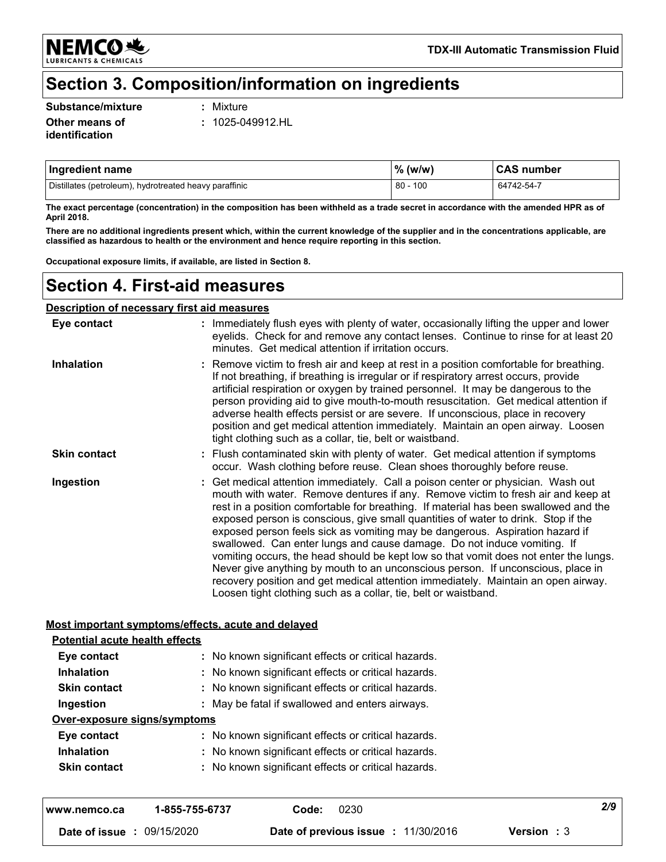**NEMCO头 LUBRICANTS & CHEMICALS** 

### **Section 3. Composition/information on ingredients**

#### **Substance/mixture :**

Mixture

**Other means of identification**

**:** 1025-049912.HL

| Ingredient name                                        | $%$ (w/w)  | <b>CAS number</b> |
|--------------------------------------------------------|------------|-------------------|
| Distillates (petroleum), hydrotreated heavy paraffinic | $80 - 100$ | 64742-54-7        |

**The exact percentage (concentration) in the composition has been withheld as a trade secret in accordance with the amended HPR as of April 2018.**

**There are no additional ingredients present which, within the current knowledge of the supplier and in the concentrations applicable, are classified as hazardous to health or the environment and hence require reporting in this section.**

**Occupational exposure limits, if available, are listed in Section 8.**

### **Section 4. First-aid measures**

#### **Description of necessary first aid measures**

| Eye contact         | : Immediately flush eyes with plenty of water, occasionally lifting the upper and lower<br>eyelids. Check for and remove any contact lenses. Continue to rinse for at least 20<br>minutes. Get medical attention if irritation occurs.                                                                                                                                                                                                                                                                                                                                                                                                                                                                                                                                                                                                          |
|---------------------|-------------------------------------------------------------------------------------------------------------------------------------------------------------------------------------------------------------------------------------------------------------------------------------------------------------------------------------------------------------------------------------------------------------------------------------------------------------------------------------------------------------------------------------------------------------------------------------------------------------------------------------------------------------------------------------------------------------------------------------------------------------------------------------------------------------------------------------------------|
| <b>Inhalation</b>   | : Remove victim to fresh air and keep at rest in a position comfortable for breathing.<br>If not breathing, if breathing is irregular or if respiratory arrest occurs, provide<br>artificial respiration or oxygen by trained personnel. It may be dangerous to the<br>person providing aid to give mouth-to-mouth resuscitation. Get medical attention if<br>adverse health effects persist or are severe. If unconscious, place in recovery<br>position and get medical attention immediately. Maintain an open airway. Loosen<br>tight clothing such as a collar, tie, belt or waistband.                                                                                                                                                                                                                                                    |
| <b>Skin contact</b> | : Flush contaminated skin with plenty of water. Get medical attention if symptoms<br>occur. Wash clothing before reuse. Clean shoes thoroughly before reuse.                                                                                                                                                                                                                                                                                                                                                                                                                                                                                                                                                                                                                                                                                    |
| Ingestion           | : Get medical attention immediately. Call a poison center or physician. Wash out<br>mouth with water. Remove dentures if any. Remove victim to fresh air and keep at<br>rest in a position comfortable for breathing. If material has been swallowed and the<br>exposed person is conscious, give small quantities of water to drink. Stop if the<br>exposed person feels sick as vomiting may be dangerous. Aspiration hazard if<br>swallowed. Can enter lungs and cause damage. Do not induce vomiting. If<br>vomiting occurs, the head should be kept low so that vomit does not enter the lungs.<br>Never give anything by mouth to an unconscious person. If unconscious, place in<br>recovery position and get medical attention immediately. Maintain an open airway.<br>Loosen tight clothing such as a collar, tie, belt or waistband. |

#### **Most important symptoms/effects, acute and delayed**

| <b>Potential acute health effects</b><br>Eye contact | : No known significant effects or critical hazards. |
|------------------------------------------------------|-----------------------------------------------------|
| <b>Inhalation</b>                                    | : No known significant effects or critical hazards. |
| <b>Skin contact</b>                                  | : No known significant effects or critical hazards. |
| Ingestion                                            | : May be fatal if swallowed and enters airways.     |
| Over-exposure signs/symptoms                         |                                                     |
| Eye contact                                          | : No known significant effects or critical hazards. |
| <b>Inhalation</b>                                    | : No known significant effects or critical hazards. |
| <b>Skin contact</b>                                  | : No known significant effects or critical hazards. |

| www.nemco.ca  | 1-855-755-6737 | Code: | 0230                                       |                    | 2/9 |
|---------------|----------------|-------|--------------------------------------------|--------------------|-----|
| Date of issue | : 09/15/2020   |       | <b>Date of previous issue : 11/30/2016</b> | <b>Version</b> : 3 |     |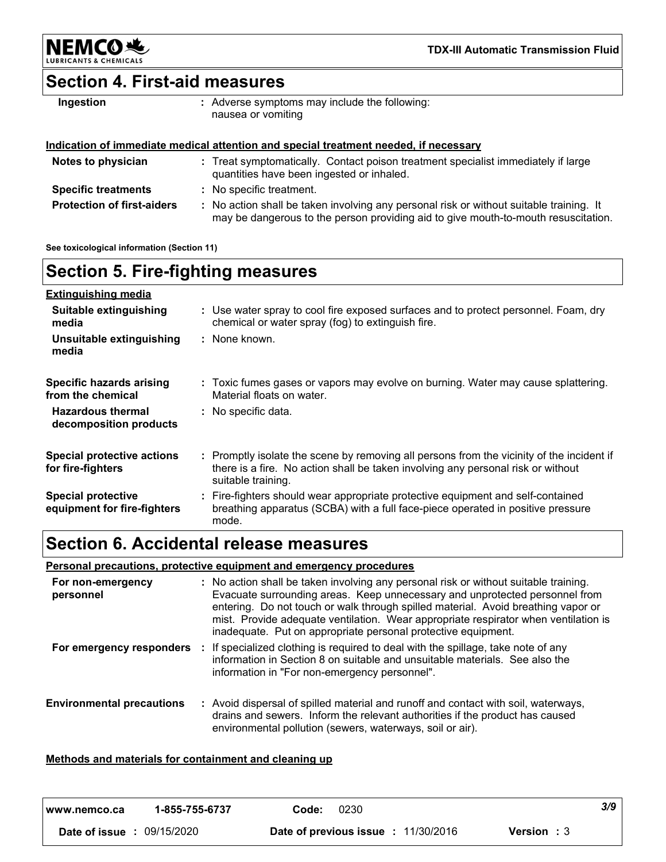

**TDX-III Automatic Transmission Fluid**

### **Section 4. First-aid measures**

| Ingestion | : Adverse symptoms may include the following:<br>nausea or vomiting |
|-----------|---------------------------------------------------------------------|
|           |                                                                     |

### **Indication of immediate medical attention and special treatment needed, if necessary**

| Notes to physician                | : Treat symptomatically. Contact poison treatment specialist immediately if large<br>quantities have been ingested or inhaled.                                                |
|-----------------------------------|-------------------------------------------------------------------------------------------------------------------------------------------------------------------------------|
| <b>Specific treatments</b>        | : No specific treatment.                                                                                                                                                      |
| <b>Protection of first-aiders</b> | : No action shall be taken involving any personal risk or without suitable training. It<br>may be dangerous to the person providing aid to give mouth-to-mouth resuscitation. |

**See toxicological information (Section 11)**

#### **Section 5. Fire-fighting measures** Promptly isolate the scene by removing all persons from the vicinity of the incident if **:** there is a fire. No action shall be taken involving any personal risk or without suitable training. **Hazardous thermal decomposition products Specific hazards arising from the chemical** No specific data. **:** Toxic fumes gases or vapors may evolve on burning. Water may cause splattering. **:** Material floats on water. Fire-fighters should wear appropriate protective equipment and self-contained **:** breathing apparatus (SCBA) with a full face-piece operated in positive pressure mode. **Special protective equipment for fire-fighters** Use water spray to cool fire exposed surfaces and to protect personnel. Foam, dry **:** chemical or water spray (fog) to extinguish fire. **Extinguishing media** None known. **: Suitable extinguishing media Unsuitable extinguishing media Special protective actions for fire-fighters**

### **Section 6. Accidental release measures**

### **Personal precautions, protective equipment and emergency procedures**

| For non-emergency<br>personnel   | : No action shall be taken involving any personal risk or without suitable training.<br>Evacuate surrounding areas. Keep unnecessary and unprotected personnel from<br>entering. Do not touch or walk through spilled material. Avoid breathing vapor or<br>mist. Provide adequate ventilation. Wear appropriate respirator when ventilation is<br>inadequate. Put on appropriate personal protective equipment. |
|----------------------------------|------------------------------------------------------------------------------------------------------------------------------------------------------------------------------------------------------------------------------------------------------------------------------------------------------------------------------------------------------------------------------------------------------------------|
| For emergency responders         | If specialized clothing is required to deal with the spillage, take note of any<br>information in Section 8 on suitable and unsuitable materials. See also the<br>information in "For non-emergency personnel".                                                                                                                                                                                                  |
| <b>Environmental precautions</b> | : Avoid dispersal of spilled material and runoff and contact with soil, waterways,<br>drains and sewers. Inform the relevant authorities if the product has caused<br>environmental pollution (sewers, waterways, soil or air).                                                                                                                                                                                  |

#### **Methods and materials for containment and cleaning up**

| I www.nemco.ca                    | 1-855-755-6737 | 0230<br>Code:                       | 3/9                |
|-----------------------------------|----------------|-------------------------------------|--------------------|
| <b>Date of issue : 09/15/2020</b> |                | Date of previous issue : 11/30/2016 | <b>Version</b> : 3 |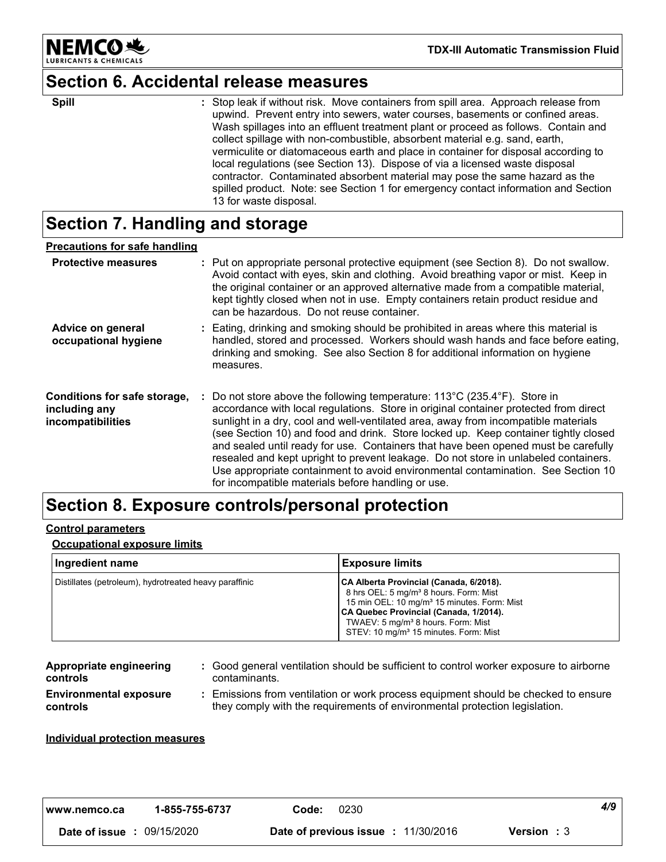

# **Section 6. Accidental release measures**

| <b>Spill</b> | : Stop leak if without risk. Move containers from spill area. Approach release from<br>upwind. Prevent entry into sewers, water courses, basements or confined areas.<br>Wash spillages into an effluent treatment plant or proceed as follows. Contain and<br>collect spillage with non-combustible, absorbent material e.g. sand, earth,<br>vermiculite or diatomaceous earth and place in container for disposal according to<br>local regulations (see Section 13). Dispose of via a licensed waste disposal |
|--------------|------------------------------------------------------------------------------------------------------------------------------------------------------------------------------------------------------------------------------------------------------------------------------------------------------------------------------------------------------------------------------------------------------------------------------------------------------------------------------------------------------------------|
|              | contractor. Contaminated absorbent material may pose the same hazard as the<br>spilled product. Note: see Section 1 for emergency contact information and Section<br>13 for waste disposal.                                                                                                                                                                                                                                                                                                                      |

# **Section 7. Handling and storage**

| <b>Precautions for safe handling</b>                               |                                                                                                                                                                                                                                                                                                                                                                                                                                                                                                                                                                                                                                                                       |
|--------------------------------------------------------------------|-----------------------------------------------------------------------------------------------------------------------------------------------------------------------------------------------------------------------------------------------------------------------------------------------------------------------------------------------------------------------------------------------------------------------------------------------------------------------------------------------------------------------------------------------------------------------------------------------------------------------------------------------------------------------|
| <b>Protective measures</b>                                         | : Put on appropriate personal protective equipment (see Section 8). Do not swallow.<br>Avoid contact with eyes, skin and clothing. Avoid breathing vapor or mist. Keep in<br>the original container or an approved alternative made from a compatible material,<br>kept tightly closed when not in use. Empty containers retain product residue and<br>can be hazardous. Do not reuse container.                                                                                                                                                                                                                                                                      |
| Advice on general<br>occupational hygiene                          | : Eating, drinking and smoking should be prohibited in areas where this material is<br>handled, stored and processed. Workers should wash hands and face before eating,<br>drinking and smoking. See also Section 8 for additional information on hygiene<br>measures.                                                                                                                                                                                                                                                                                                                                                                                                |
| Conditions for safe storage,<br>including any<br>incompatibilities | : Do not store above the following temperature: 113°C (235.4°F). Store in<br>accordance with local regulations. Store in original container protected from direct<br>sunlight in a dry, cool and well-ventilated area, away from incompatible materials<br>(see Section 10) and food and drink. Store locked up. Keep container tightly closed<br>and sealed until ready for use. Containers that have been opened must be carefully<br>resealed and kept upright to prevent leakage. Do not store in unlabeled containers.<br>Use appropriate containment to avoid environmental contamination. See Section 10<br>for incompatible materials before handling or use. |

# **Section 8. Exposure controls/personal protection**

### **Control parameters**

#### **Occupational exposure limits**

| Ingredient name                                        | <b>Exposure limits</b>                                                                                                                                                                                                                                                                                    |
|--------------------------------------------------------|-----------------------------------------------------------------------------------------------------------------------------------------------------------------------------------------------------------------------------------------------------------------------------------------------------------|
| Distillates (petroleum), hydrotreated heavy paraffinic | CA Alberta Provincial (Canada, 6/2018).<br>8 hrs OEL: 5 mg/m <sup>3</sup> 8 hours. Form: Mist<br>15 min OEL: 10 mg/m <sup>3</sup> 15 minutes. Form: Mist<br>CA Quebec Provincial (Canada, 1/2014).<br>TWAEV: 5 mg/m <sup>3</sup> 8 hours. Form: Mist<br>STEV: 10 mg/m <sup>3</sup> 15 minutes. Form: Mist |

| Appropriate engineering<br><b>controls</b> | : Good general ventilation should be sufficient to control worker exposure to airborne<br>contaminants.                                                          |
|--------------------------------------------|------------------------------------------------------------------------------------------------------------------------------------------------------------------|
| <b>Environmental exposure</b><br>controls  | : Emissions from ventilation or work process equipment should be checked to ensure<br>they comply with the requirements of environmental protection legislation. |

#### **Individual protection measures**

| I www.nemco.ca                    | 1-855-755-6737 | Code: | 0230                                |                    | 4/9 |
|-----------------------------------|----------------|-------|-------------------------------------|--------------------|-----|
| <b>Date of issue : 09/15/2020</b> |                |       | Date of previous issue : 11/30/2016 | <b>Version</b> : 3 |     |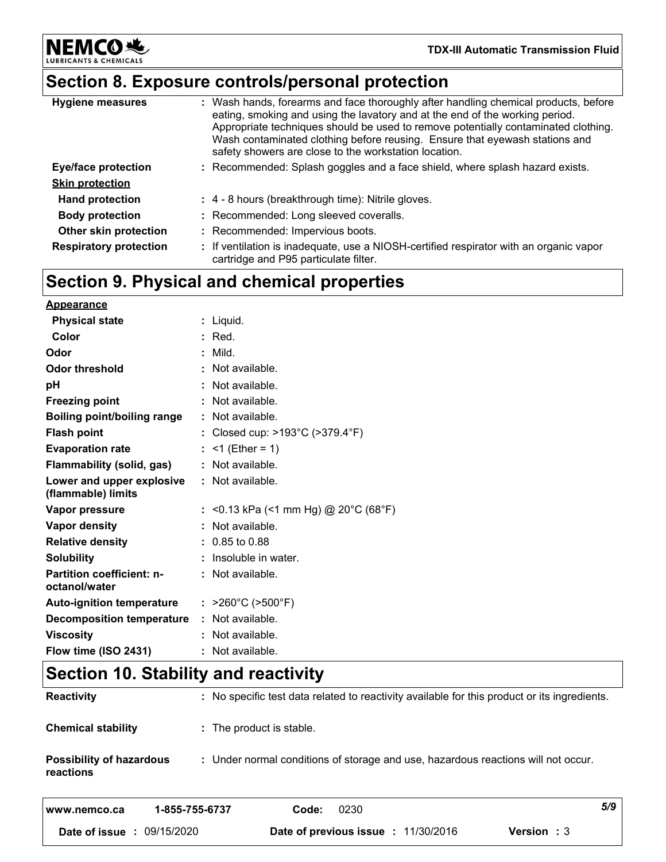**NEMCO头** LUBRIO

# **Section 8. Exposure controls/personal protection**

| <b>Hygiene measures</b>       | : Wash hands, forearms and face thoroughly after handling chemical products, before<br>eating, smoking and using the lavatory and at the end of the working period.<br>Appropriate techniques should be used to remove potentially contaminated clothing.<br>Wash contaminated clothing before reusing. Ensure that eyewash stations and<br>safety showers are close to the workstation location. |
|-------------------------------|---------------------------------------------------------------------------------------------------------------------------------------------------------------------------------------------------------------------------------------------------------------------------------------------------------------------------------------------------------------------------------------------------|
| <b>Eye/face protection</b>    | : Recommended: Splash goggles and a face shield, where splash hazard exists.                                                                                                                                                                                                                                                                                                                      |
| <b>Skin protection</b>        |                                                                                                                                                                                                                                                                                                                                                                                                   |
| <b>Hand protection</b>        | : 4 - 8 hours (breakthrough time): Nitrile gloves.                                                                                                                                                                                                                                                                                                                                                |
| <b>Body protection</b>        | : Recommended: Long sleeved coveralls.                                                                                                                                                                                                                                                                                                                                                            |
| Other skin protection         | : Recommended: Impervious boots.                                                                                                                                                                                                                                                                                                                                                                  |
| <b>Respiratory protection</b> | : If ventilation is inadequate, use a NIOSH-certified respirator with an organic vapor<br>cartridge and P95 particulate filter.                                                                                                                                                                                                                                                                   |

# **Section 9. Physical and chemical properties**

| <b>Appearance</b>                                 |                                        |
|---------------------------------------------------|----------------------------------------|
| <b>Physical state</b>                             | $:$ Liquid.                            |
| Color                                             | $:$ Red.                               |
| Odor                                              | Mild.                                  |
| <b>Odor threshold</b>                             | : Not available.                       |
| рH                                                | : Not available.                       |
| <b>Freezing point</b>                             | Not available.                         |
| <b>Boiling point/boiling range</b>                | : Not available.                       |
| <b>Flash point</b>                                | : Closed cup: >193°C (>379.4°F)        |
| <b>Evaporation rate</b>                           | : <1 (Ether = 1)                       |
| <b>Flammability (solid, gas)</b>                  | $:$ Not available.                     |
| Lower and upper explosive<br>(flammable) limits   | $\therefore$ Not available.            |
| Vapor pressure                                    | : <0.13 kPa (<1 mm Hg) @ 20°C (68°F)   |
| Vapor density                                     | Not available.                         |
| <b>Relative density</b>                           | $: 0.85$ to 0.88                       |
| <b>Solubility</b>                                 | Insoluble in water.                    |
| <b>Partition coefficient: n-</b><br>octanol/water | : Not available.                       |
| <b>Auto-ignition temperature</b>                  | : $>260^{\circ}$ C ( $>500^{\circ}$ F) |
| <b>Decomposition temperature</b>                  | : Not available.                       |
| <b>Viscosity</b>                                  | : Not available.                       |
| Flow time (ISO 2431)                              | : Not available.                       |

# **Section 10. Stability and reactivity**

| www.nemco.ca                                 | 1-855-755-6737           | 0230<br>Code: | 5/9                                                                                          |
|----------------------------------------------|--------------------------|---------------|----------------------------------------------------------------------------------------------|
| <b>Possibility of hazardous</b><br>reactions |                          |               | : Under normal conditions of storage and use, hazardous reactions will not occur.            |
| <b>Chemical stability</b>                    | : The product is stable. |               |                                                                                              |
| <b>Reactivity</b>                            |                          |               | : No specific test data related to reactivity available for this product or its ingredients. |

**Date of issue :** 09/15/2020 **Date of previous issue :** 11/30/2016 **Version :** 3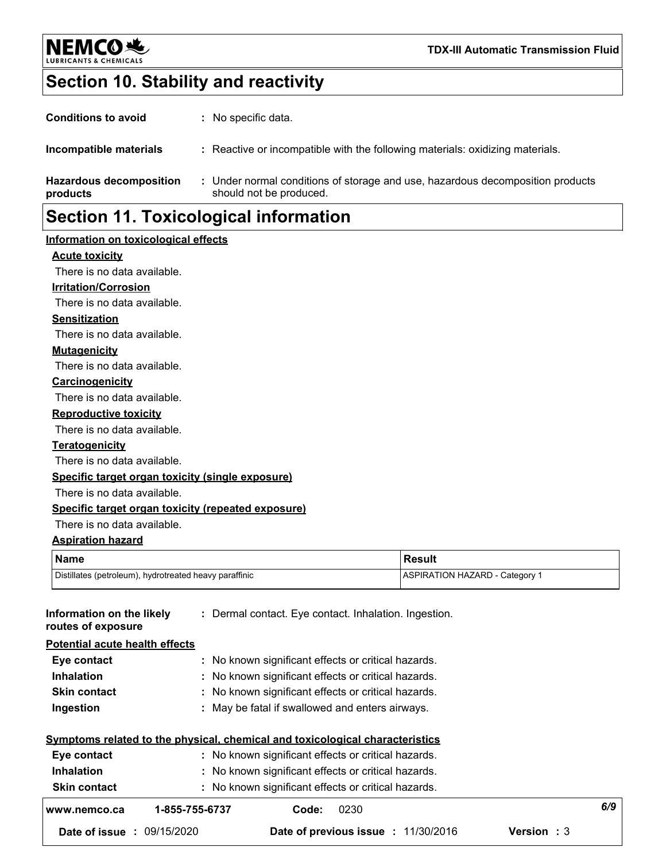

# **Section 10. Stability and reactivity**

| <b>Hazardous decomposition</b><br>products | : Under normal conditions of storage and use, hazardous decomposition products<br>should not be produced. |
|--------------------------------------------|-----------------------------------------------------------------------------------------------------------|
| Incompatible materials                     | : Reactive or incompatible with the following materials: oxidizing materials.                             |
| <b>Conditions to avoid</b>                 | : No specific data.                                                                                       |

# **Section 11. Toxicological information**

### **Information on toxicological effects**

### **Acute toxicity**

There is no data available.

### **Irritation/Corrosion**

There is no data available.

**Sensitization**

There is no data available.

#### **Mutagenicity**

There is no data available.

#### **Carcinogenicity**

There is no data available.

#### **Reproductive toxicity**

There is no data available.

#### **Teratogenicity**

There is no data available.

### **Specific target organ toxicity (single exposure)**

There is no data available.

### **Specific target organ toxicity (repeated exposure)**

There is no data available.

### **Aspiration hazard**

| Name                                                   | <b>Result</b>                         |
|--------------------------------------------------------|---------------------------------------|
| Distillates (petroleum), hydrotreated heavy paraffinic | <b>ASPIRATION HAZARD - Category 1</b> |

| Information on the likely<br>routes of exposure |                                                     | : Dermal contact. Eye contact. Inhalation. Ingestion.                        |                    |     |  |  |
|-------------------------------------------------|-----------------------------------------------------|------------------------------------------------------------------------------|--------------------|-----|--|--|
| <b>Potential acute health effects</b>           |                                                     |                                                                              |                    |     |  |  |
| Eye contact                                     |                                                     | : No known significant effects or critical hazards.                          |                    |     |  |  |
| <b>Inhalation</b>                               |                                                     | : No known significant effects or critical hazards.                          |                    |     |  |  |
| <b>Skin contact</b>                             |                                                     | : No known significant effects or critical hazards.                          |                    |     |  |  |
| Ingestion                                       |                                                     | : May be fatal if swallowed and enters airways.                              |                    |     |  |  |
|                                                 |                                                     | Symptoms related to the physical, chemical and toxicological characteristics |                    |     |  |  |
| Eye contact                                     | : No known significant effects or critical hazards. |                                                                              |                    |     |  |  |
| <b>Inhalation</b>                               | : No known significant effects or critical hazards. |                                                                              |                    |     |  |  |
| <b>Skin contact</b>                             |                                                     | : No known significant effects or critical hazards.                          |                    |     |  |  |
| www.nemco.ca                                    | 1-855-755-6737                                      | 0230<br>Code:                                                                |                    | 6/9 |  |  |
| <b>Date of issue : 09/15/2020</b>               |                                                     | Date of previous issue : 11/30/2016                                          | <b>Version</b> : 3 |     |  |  |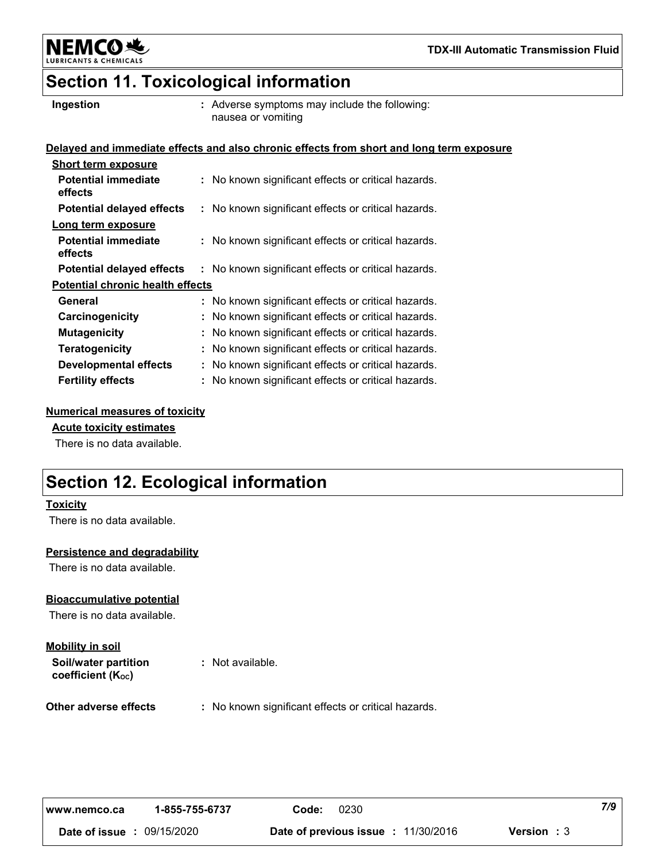

NEMCO头

# **Section 11. Toxicological information**

**Ingestion Adverse symptoms may include the following:**  $\blacksquare$ nausea or vomiting

#### **Delayed and immediate effects and also chronic effects from short and long term exposure**

| : No known significant effects or critical hazards. |
|-----------------------------------------------------|
| : No known significant effects or critical hazards. |
|                                                     |
| : No known significant effects or critical hazards. |
| : No known significant effects or critical hazards. |
| <b>Potential chronic health effects</b>             |
| : No known significant effects or critical hazards. |
|                                                     |
| : No known significant effects or critical hazards. |
| : No known significant effects or critical hazards. |
| : No known significant effects or critical hazards. |
| : No known significant effects or critical hazards. |
|                                                     |

### **Numerical measures of toxicity**

### **Acute toxicity estimates**

There is no data available.

# **Section 12. Ecological information**

#### **Toxicity**

There is no data available.

### **Persistence and degradability**

There is no data available.

### **Bioaccumulative potential**

There is no data available.

### **Soil/water partition coefficient (KOC) Mobility in soil**

**:** Not available.

**Other adverse effects** : No known significant effects or critical hazards.

| www.nemco.ca  | 1-855-755-6737 | Code: | 0230                                       |                    | 7/9 |
|---------------|----------------|-------|--------------------------------------------|--------------------|-----|
| Date of issue | 09/15/2020     |       | <b>Date of previous issue : 11/30/2016</b> | <b>Version</b> : 3 |     |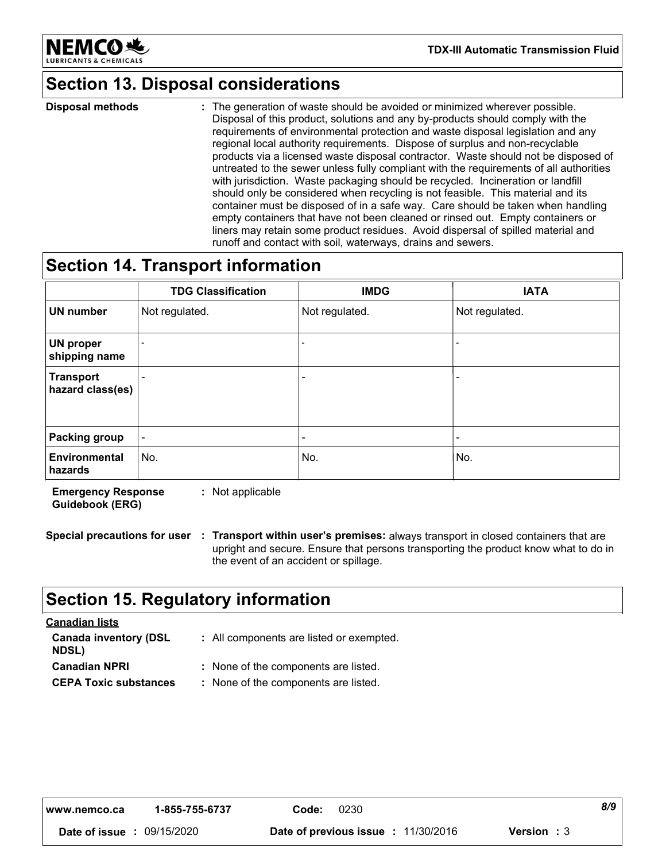

**TDX-III Automatic Transmission Fluid**

# **Section 13. Disposal considerations**

The generation of waste should be avoided or minimized wherever possible. Disposal of this product, solutions and any by-products should comply with the requirements of environmental protection and waste disposal legislation and any regional local authority requirements. Dispose of surplus and non-recyclable products via a licensed waste disposal contractor. Waste should not be disposed of untreated to the sewer unless fully compliant with the requirements of all authorities with jurisdiction. Waste packaging should be recycled. Incineration or landfill should only be considered when recycling is not feasible. This material and its container must be disposed of in a safe way. Care should be taken when handling empty containers that have not been cleaned or rinsed out. Empty containers or liners may retain some product residues. Avoid dispersal of spilled material and runoff and contact with soil, waterways, drains and sewers. **Disposal methods :**

# **Section 14. Transport information**

|                                      | <b>TDG Classification</b> | <b>IMDG</b>    | <b>IATA</b>    |
|--------------------------------------|---------------------------|----------------|----------------|
| <b>UN number</b>                     | Not regulated.            | Not regulated. | Not regulated. |
| UN proper<br>shipping name           |                           |                |                |
| <b>Transport</b><br>hazard class(es) |                           |                |                |
|                                      |                           |                |                |
| <b>Packing group</b>                 |                           |                |                |
| Environmental<br>hazards             | No.                       | No.            | No.            |

**Emergency Response Guidebook (ERG) :** Not applicable

**Special precautions for user Transport within user's premises:** always transport in closed containers that are **:** upright and secure. Ensure that persons transporting the product know what to do in the event of an accident or spillage.

### **Section 15. Regulatory information**

| <b>Canadian lists</b>                        |                                          |
|----------------------------------------------|------------------------------------------|
| <b>Canada inventory (DSL</b><br><b>NDSL)</b> | : All components are listed or exempted. |
| <b>Canadian NPRI</b>                         | : None of the components are listed.     |
| <b>CEPA Toxic substances</b>                 | : None of the components are listed.     |

| l www.nemco.ca | 1-855-755-6737 | Code: | 0230                                       |                    | 8/9 |
|----------------|----------------|-------|--------------------------------------------|--------------------|-----|
| Date of issue  | 09/15/2020     |       | <b>Date of previous issue : 11/30/2016</b> | <b>Version</b> : 3 |     |